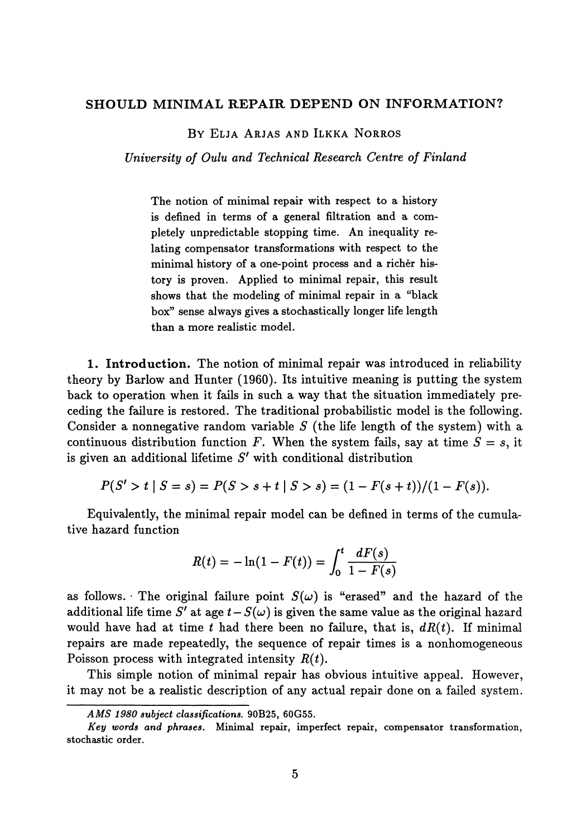## **SHOULD MINIMAL REPAIR DEPEND ON INFORMATION?**

BY ELJA ARJAS AND ILKKA NORROS

*University of Oulu and Technical Research Centre of Finland*

The notion of minimal repair with respect to a history is defined in terms of a general filtration and a com pletely unpredictable stopping time. An inequality re lating compensator transformations with respect to the minimal history of a one-point process and a richer his tory is proven. Applied to minimal repair, this result shows that the modeling of minimal repair in a "black box" sense always gives a stochastically longer life length than a more realistic model.

**1. Introduction.** The notion of minimal repair was introduced in reliability theory by Barlow and Hunter (1960). Its intuitive meaning is putting the system back to operation when it fails in such a way that the situation immediately pre ceding the failure is restored. The traditional probabilistic model is the following. Consider a nonnegative random variable *S* (the life length of the system) with a continuous distribution function F. When the system fails, say at time  $S = s$ , it is given an additional lifetime *S'* with conditional distribution

$$
P(S' > t | S = s) = P(S > s + t | S > s) = (1 - F(s + t))/(1 - F(s)).
$$

Equivalently, the minimal repair model can be defined in terms of the cumula tive hazard function

$$
R(t) = -\ln(1 - F(t)) = \int_0^t \frac{dF(s)}{1 - F(s)}
$$

as follows. The original failure point  $S(\omega)$  is "erased" and the hazard of the additional life time  $S'$  at age  $t - S(\omega)$  is given the same value as the original hazard would have had at time *t* had there been no failure, that is, *dR(t).* If minimal repairs are made repeatedly, the sequence of repair times is a nonhomogeneous Poisson process with integrated intensity *R(t).*

This simple notion of minimal repair has obvious intuitive appeal. However, it may not be a realistic description of any actual repair done on a failed system.

*AMS 1980 subject classifications.* **90B25, 60G55.**

*Key words and phrases.* **Minimal repair, imperfect repair, compensator transformation, stochastic order.**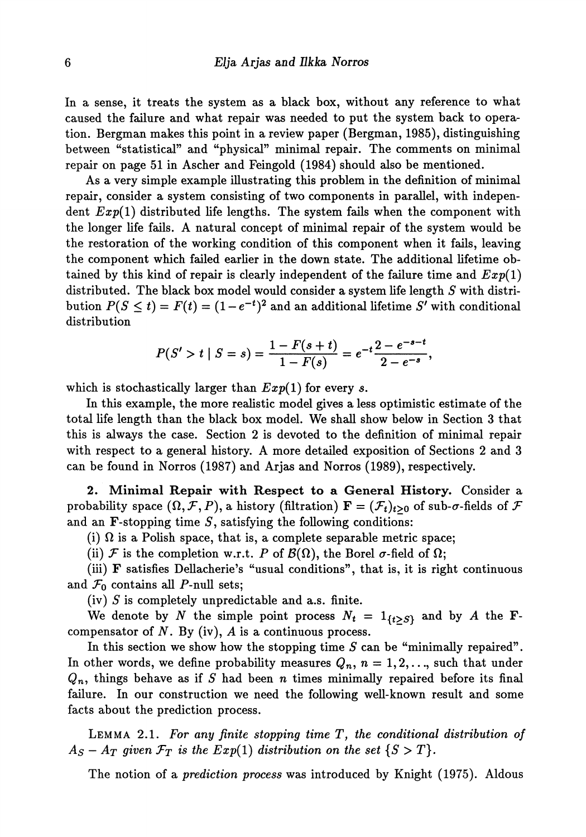In a sense, it treats the system as a black box, without any reference to what caused the failure and what repair was needed to put the system back to opera tion. Bergman makes this point in a review paper (Bergman, 1985), distinguishing between "statistical" and "physical" minimal repair. The comments on minimal repair on page 51 in Ascher and Feingold (1984) should also be mentioned.

As a very simple example illustrating this problem in the definition of minimal repair, consider a system consisting of two components in parallel, with indepen dent *Exp(l)* distributed life lengths. The system fails when the component with the longer life fails. A natural concept of minimal repair of the system would be the restoration of the working condition of this component when it fails, leaving the component which failed earlier in the down state. The additional lifetime ob tained by this kind of repair is clearly independent of the failure time and *Exp(l)* distributed. The black box model would consider a system life length *S* with distri bution  $P(S \leq t) = F(t) = (1 - e^{-t})^2$  and an additional lifetime S' with conditional distribution

$$
P(S' > t \mid S = s) = \frac{1 - F(s + t)}{1 - F(s)} = e^{-t} \frac{2 - e^{-s - t}}{2 - e^{-s}},
$$

which is stochastically larger than *Exp(l)* for every *s.*

In this example, the more realistic model gives a less optimistic estimate of the total life length than the black box model. We shall show below in Section 3 that this is always the case. Section 2 is devoted to the definition of minimal repair with respect to a general history. A more detailed exposition of Sections 2 and 3 can be found in Norros (1987) and Arjas and Norros (1989), respectively.

**2 Minimal Repair with Respect to a General History.** Consider a probability space  $(\Omega, \mathcal{F}, P)$ , a history (filtration)  $\mathbf{F} = (\mathcal{F}_t)_{t>0}$  of sub- $\sigma$ -fields of  $\mathcal{F}$ and an **-stopping time**  $S$ **, satisfying the following conditions:** 

(i)  $\Omega$  is a Polish space, that is, a complete separable metric space;

(ii)  $\mathcal F$  is the completion w.r.t. *P* of  $\mathcal B(\Omega)$ , the Borel  $\sigma$ -field of  $\Omega$ ;

(iii) F satisfies Dellacherie's "usual conditions", that is, it is right continuous and  $\mathcal{F}_0$  contains all P-null sets;

(iv) *S* is completely unpredictable and a.s. finite.

We denote by *N* the simple point process  $N_t = 1_{\{t > S\}}$  and by *A* the **F**compensator of  $N$ . By (iv),  $A$  is a continuous process.

In this section we show how the stopping time *S* can be "minimally repaired". In other words, we define probability measures  $Q_n, n = 1, 2, ...$ , such that under  $Q_n$ , things behave as if  $S$  had been  $n$  times minimally repaired before its final failure. In our construction we need the following well-known result and some facts about the prediction process.

LEMMA 2.1. *For any finite stopping time T, the conditional distribution of*  $A_S - A_T$  given  $\mathcal{F}_T$  is the  $Exp(1)$  distribution on the set  $\{S > T\}.$ 

The notion of a *prediction process* was introduced by Knight (1975). Aldous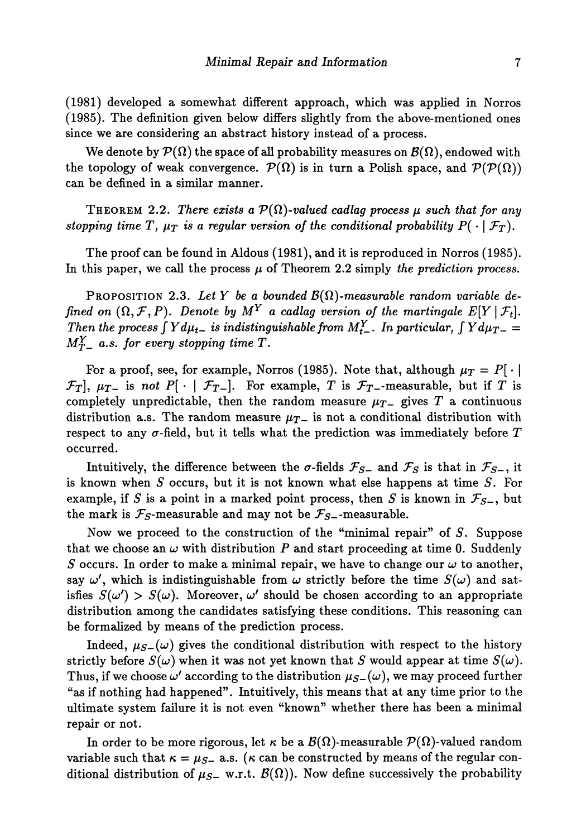(1981) developed a somewhat different approach, which was applied in Norros (1985). The definition given below differs slightly from the above-mentioned ones since we are considering an abstract history instead of a process.

We denote by  $\mathcal{P}(\Omega)$  the space of all probability measures on  $\mathcal{B}(\Omega),$  endowed with the topology of weak convergence.  $\mathcal{P}(\Omega)$  is in turn a Polish space, and  $\mathcal{P}(\mathcal{P}(\Omega))$ can be defined in a similar manner.

THEOREM 2.2. There exists a  $\mathcal{P}(\Omega)$ -valued cadlag process  $\mu$  such that for any *stopping time T,*  $\mu_T$  *is a regular version of the conditional probability*  $P(\cdot | \mathcal{F}_T)$ .

The proof can be found in Aldous (1981), and it is reproduced in Norros (1985). In this paper, we call the process *μ* of Theorem 2.2 simply *the prediction process.*

PROPOSITION 2.3. *Let Y be a bounded B{Ω)-measurable random variable defined on*  $(\Omega, \mathcal{F}, P)$ . Denote by  $M^Y$  a cadlag version of the martingale  $E[Y | \mathcal{F}_t]$ . *Then the process*  $\int Y d\mu_{t-}$  *is indistinguishable from*  $M_{t-}^Y$ *. In particular,*  $\int Y d\mu_{T-} = 0$  $M_{T-}^Y$  a.s. for every stopping time T.

For a proof, see, for example, Norros (1985). Note that, although  $\mu_T = P[\cdot]$  $\mathcal{F}_T$ ,  $\mu_{T-}$  is not P[  $\cdot$  |  $\mathcal{F}_{T-}$ ]. For example, T is  $\mathcal{F}_T$ -measurable, but if T is completely unpredictable, then the random measure  $\mu_{T-}$  gives T a continuous distribution a.s. The random measure  $\mu_{\mathcal{T}}$  is not a conditional distribution with respect to any  $\sigma$ -field, but it tells what the prediction was immediately before  $T$ occurred.

Intuitively, the difference between the  $\sigma$ -fields  $\mathcal{F}_{S-}$  and  $\mathcal{F}_{S}$  is that in  $\mathcal{F}_{S-}$ , it is known when *S* occurs, but it is not known what else happens at time *S.* For example, if *S* is a point in a marked point process, then *S* is known in  $\mathcal{F}_{S_{-}}$ , but the mark is  $\mathcal{F}_s$ -measurable and may not be  $\mathcal{F}_{s-}$ -measurable.

Now we proceed to the construction of the "minimal repair" of *S.* Suppose that we choose an  $\omega$  with distribution P and start proceeding at time 0. Suddenly *S* occurs. In order to make a minimal repair, we have to change our  $\omega$  to another, say  $\omega'$ , which is indistinguishable from  $\omega$  strictly before the time  $S(\omega)$  and satisfies  $S(\omega) > S(\omega)$ . Moreover,  $\omega'$  should be chosen according to an appropriate distribution among the candidates satisfying these conditions. This reasoning can be formalized by means of the prediction process.

Indeed,  $\mu_{S}(\omega)$  gives the conditional distribution with respect to the history strictly before  $S(\omega)$  when it was not yet known that *S* would appear at time  $S(\omega)$ . Thus, if we choose  $\omega'$  according to the distribution  $\mu_{S-}(\omega)$ , we may proceed further "as if nothing had happened". Intuitively, this means that at any time prior to the ultimate system failure it is not even "known" whether there has been a minimal repair or not.

In order to be more rigorous, let  $\kappa$  be a  $\mathcal{B}(\Omega)$ -measurable  $\mathcal{P}(\Omega)$ -valued random variable such that  $\kappa = \mu_{S-}$  a.s. ( $\kappa$  can be constructed by means of the regular conditional distribution of  $\mu_{S-}$  w.r.t.  $\mathcal{B}(\Omega)$ ). Now define successively the probability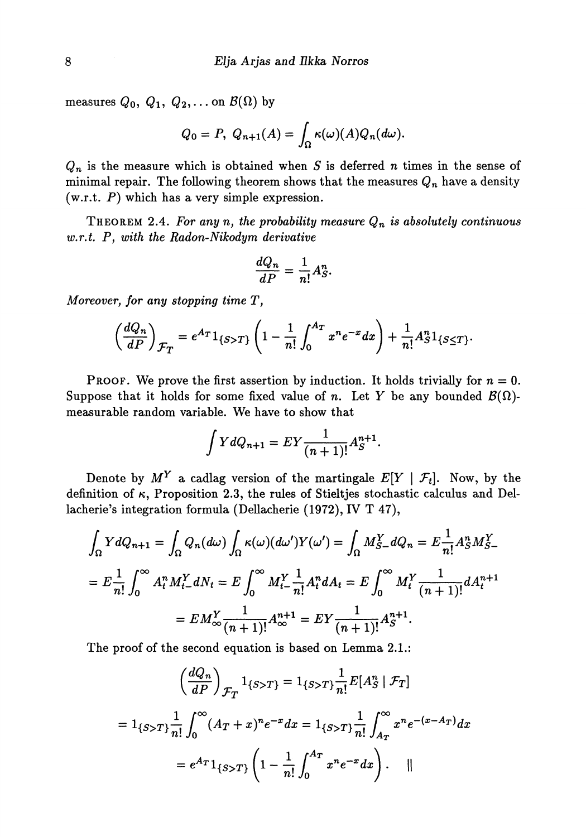measures  $Q_0$ ,  $Q_1$ ,  $Q_2$ ,... on  $\mathcal{B}(\Omega)$  by

$$
Q_0 = P, Q_{n+1}(A) = \int_{\Omega} \kappa(\omega)(A) Q_n(d\omega).
$$

 $Q_n$  is the measure which is obtained when  $S$  is deferred  $n$  times in the sense of minimal repair. The following theorem shows that the measures  $Q_{\bm{n}}$  have a density (w.r.t. *P)* which has a very simple expression.

THEOREM 2.4. *For any n, the probability measure Q<sup>n</sup> is absolutely continuous w.r.t. P, with the Radon-Nikodym derivative*

$$
\frac{dQ_n}{dP} = \frac{1}{n!}A_S^n
$$

*Moreover, for any stopping time T\*

$$
\left(\frac{dQ_n}{dP}\right)_{\mathcal{F}_T} = e^{A_T} 1_{\{S>T\}} \left(1 - \frac{1}{n!} \int_0^{A_T} x^n e^{-x} dx\right) + \frac{1}{n!} A_S^n 1_{\{S \leq T\}}
$$

**PROOF.** We prove the first assertion by induction. It holds trivially for  $n = 0$ . Suppose that it holds for some fixed value of *n*. Let Y be any bounded  $\mathcal{B}(\Omega)$ measurable random variable. We have to show that

$$
\int Y dQ_{n+1} = EY \frac{1}{(n+1)!} A_S^{n+1}.
$$

Denote by  $M^Y$  a cadlag version of the martingale  $E[Y | \mathcal{F}_t]$ . Now, by the definition of  $\kappa$ , Proposition 2.3, the rules of Stieltjes stochastic calculus and Dellacherie's integration formula (Dellacherie (1972), IV T 47),

$$
\int_{\Omega} Y dQ_{n+1} = \int_{\Omega} Q_n(d\omega) \int_{\Omega} \kappa(\omega) (d\omega') Y(\omega') = \int_{\Omega} M_{S-}^Y dQ_n = E \frac{1}{n!} A_S^n M_{S-}^Y
$$

$$
= E \frac{1}{n!} \int_0^\infty A_t^n M_{t-}^Y dN_t = E \int_0^\infty M_{t-}^Y \frac{1}{n!} A_t^n dA_t = E \int_0^\infty M_t^Y \frac{1}{(n+1)!} dA_t^{n+1}
$$

$$
= E M_\infty^Y \frac{1}{(n+1)!} A_\infty^{n+1} = E Y \frac{1}{(n+1)!} A_S^{n+1}.
$$

The proof of the second equation is based on Lemma 2.1.:

$$
\left(\frac{dQ_n}{dP}\right)_{\mathcal{F}_T} 1_{\{S>T\}} = 1_{\{S>T\}} \frac{1}{n!} E[A_S^n | \mathcal{F}_T]
$$

$$
= 1_{\{S>T\}} \frac{1}{n!} \int_0^\infty (A_T + x)^n e^{-x} dx = 1_{\{S>T\}} \frac{1}{n!} \int_{A_T}^\infty x^n e^{-(x - A_T)} dx
$$

$$
= e^{A_T} 1_{\{S>T\}} \left(1 - \frac{1}{n!} \int_0^{A_T} x^n e^{-x} dx\right). \quad ||
$$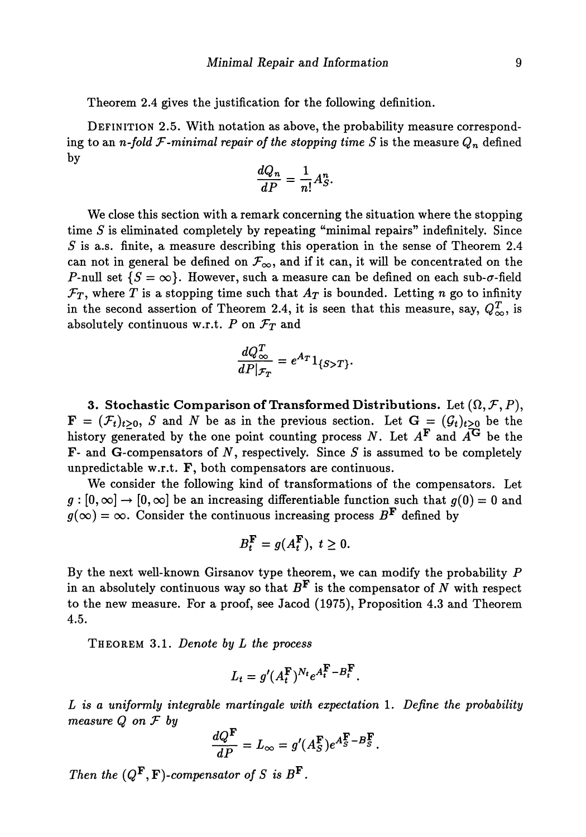Theorem 2.4 gives the justification for the following definition.

DEFINITION 2.5. With notation as above, the probability measure correspond  $\log$  to an *n-fold F-minimal repair of the stopping time*  $S$  *is the measure*  $Q_n$  *defined* by

$$
\frac{dQ_n}{dP} = \frac{1}{n!}A_S^n.
$$

We close this section with a remark concerning the situation where the stopping time *S* is eliminated completely by repeating "minimal repairs" indefinitely. Since *S* is a.s. finite, a measure describing this operation in the sense of Theorem 2.4 can not in general be defined on  $\mathcal{F}_{\infty}$ , and if it can, it will be concentrated on the P-null set  $\{S = \infty\}$ . However, such a measure can be defined on each sub- $\sigma$ -field  $\mathcal{F}_T$ , where *T* is a stopping time such that  $A_T$  is bounded. Letting *n* go to infinity in the second assertion of Theorem 2.4, it is seen that this measure, say,  $Q_{\infty}^T$ , is absolutely continuous w.r.t.  $P$  on  $\mathcal{F}_T$  and

$$
\frac{dQ_{\infty}^T}{dP|\mathcal{F}_T} = e^{A_T} 1_{\{S>T\}}.
$$

**3. Stochastic Comparison of Transformed Distributions.** Let  $(\Omega, \mathcal{F}, P)$ ,  $\mathbf{F} = (\mathcal{F}_t)_{t>0}$ , *S* and *N* be as in the previous section. Let  $\mathbf{G} = (\mathcal{G}_t)_{t\geq 0}$  be the history generated by the one point counting process N. Let  $A^{\mathbf{F}}$  and  $\widetilde{A^{\mathbf{G}}}$  be the F- and G-compensators of  $N$ , respectively. Since  $S$  is assumed to be completely unpredictable w.r.t. F, both compensators are continuous.

We consider the following kind of transformations of the compensators. Let  $g:[0,\infty] \to [0,\infty]$  be an increasing differentiable function such that  $g(0) = 0$  and  $g(\infty) = \infty$ . Consider the continuous increasing process  $B^{\mathbf{F}}$  defined by

$$
B_t^{\mathbf{F}} = g(A_t^{\mathbf{F}}), t \geq 0.
$$

By the next well-known Girsanov type theorem, we can modify the probability *P* in an absolutely continuous way so that  $B^{\mathbf{F}}$  is the compensator of  $N$  with respect to the new measure. For a proof, see Jacod (1975), Proposition 4.3 and Theorem 4.5.

THEOREM 3.1. *Denote by L the process*

$$
L_t = g'(A_t^{\mathbf{F}})^{N_t} e^{A_t^{\mathbf{F}} - B_t^{\mathbf{F}}}
$$

*L is a uniformly integrable martingale with expectation* 1. *Define the probability measure Q on T by*

$$
\frac{dQ^{\mathbf{F}}}{dP} = L_{\infty} = g'(A_S^{\mathbf{F}})e^{A_S^{\mathbf{F}} - B_S^{\mathbf{F}}}.
$$

*Then the*  $(Q^{\mathbf{F}}, \mathbf{F})$ -compensator of S is  $B^{\mathbf{F}}$ .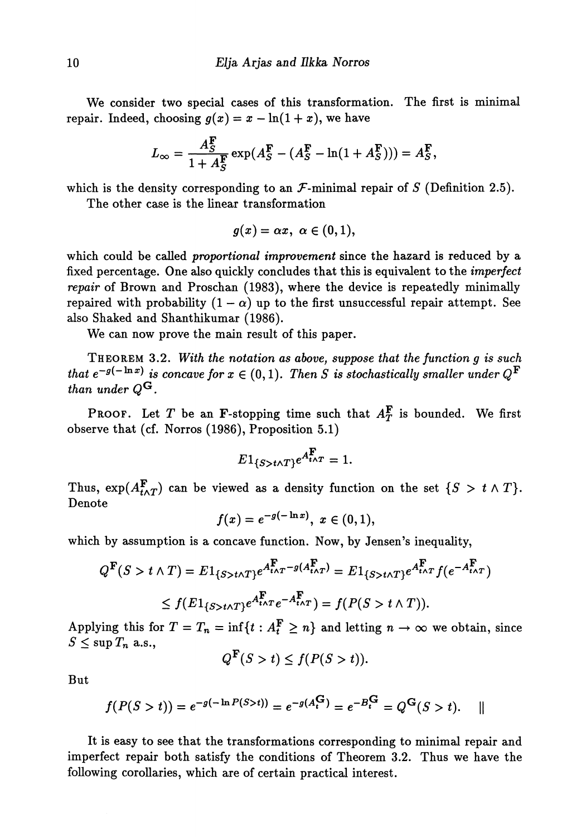We consider two special cases of this transformation. The first is minimal repair. Indeed, choosing  $g(x) = x - \ln(1 + x)$ , we have

$$
L_{\infty} = \frac{A_S^{\mathbf{F}}}{1 + A_S^{\mathbf{F}}} \exp(A_S^{\mathbf{F}} - (A_S^{\mathbf{F}} - \ln(1 + A_S^{\mathbf{F}}))) = A_S^{\mathbf{F}},
$$

which is the density corresponding to an  $\mathcal F$ -minimal repair of *S* (Definition 2.5).

The other case is the linear transformation

$$
g(x)=\alpha x, \,\, \alpha\in (0,1),
$$

which could be called *proportional improvement* since the hazard is reduced by a fixed percentage. One also quickly concludes that this is equivalent to the *imperfect repair* of Brown and Proschan (1983), where the device is repeatedly minimally repaired with probability  $(1 - \alpha)$  up to the first unsuccessful repair attempt. See also Shaked and Shanthikumar (1986).

We can now prove the main result of this paper.

THEOREM 3.2. *With the notation as above, suppose that the function g is such that*  $e^{-g(-\ln x)}$  *is concave for*  $x \in (0,1)$ . Then S is stochastically smaller under  $Q^{\mathbf{F}}$ *than under*  $Q^{\mathbf{G}}$ .

**PROOF.** Let T be an **F**-stopping time such that  $A_T^{\mathbf{F}}$  is bounded. We first observe that (cf. Norros (1986), Proposition 5.1)

$$
E1_{\{S>t\wedge T\}}e^{A_{t\wedge T}^{\mathbf{F}}} = 1.
$$

Thus,  $\exp(A^{\mathbf{F}}_{t\wedge T})$  can be viewed as a density function on the set  $\{S > t \wedge T\}.$ Denote

$$
f(x)=e^{-g(-\ln x)},\,\,x\in (0,1),
$$

which by assumption is a concave function. Now, by Jensen's inequality,

$$
Q^{\mathbf{F}}(S > t \wedge T) = E1_{\{S > t \wedge T\}} e^{A_{t \wedge T}^{\mathbf{F}} - g(A_{t \wedge T}^{\mathbf{F}})} = E1_{\{S > t \wedge T\}} e^{A_{t \wedge T}^{\mathbf{F}}} f(e^{-A_{t \wedge T}^{\mathbf{F}}})
$$
  
\$\leq f(E1\_{\{S > t \wedge T\}} e^{A\_{t \wedge T}^{\mathbf{F}}} e^{-A\_{t \wedge T}^{\mathbf{F}}}) = f(P(S > t \wedge T)).

Applying this for  $T = T_n = \inf\{t : A_t^F \geq n\}$  and letting  $n \to \infty$  we obtain, since  $S \leq \sup T_n$  a.s.,

$$
Q^{\mathbf{F}}(S>t)\leq f(P(S>t)).
$$

But

$$
f(P(S > t)) = e^{-g(-\ln P(S > t))} = e^{-g(A_t^G)} = e^{-B_t^G} = Q^G(S > t).
$$

It is easy to see that the transformations corresponding to minimal repair and imperfect repair both satisfy the conditions of Theorem 3.2. Thus we have the following corollaries, which are of certain practical interest.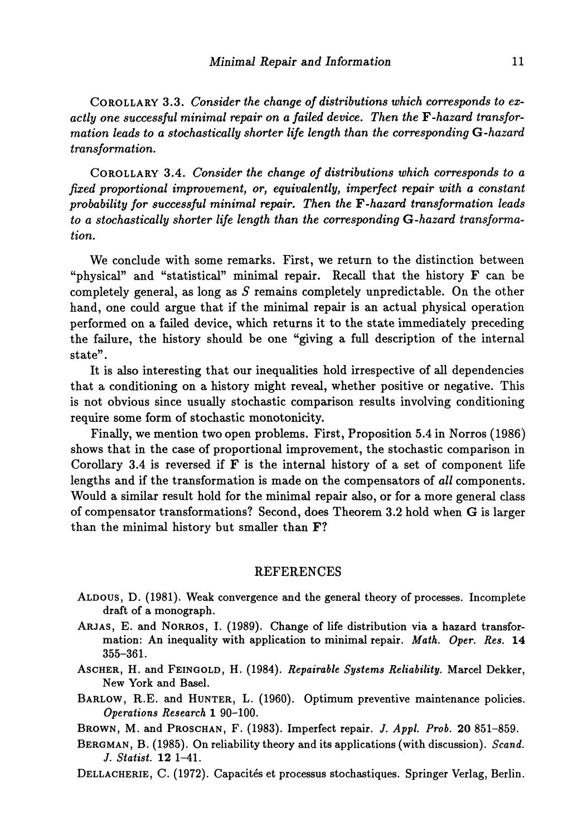**COROLLARY 3.3.** *Consider the change of distributions which corresponds to exactly one successful minimal repair on a failed device. Then the Y-hazard transformation leads to a stochastically shorter life length than the corresponding* **G***-hazard transformation.*

**COROLLARY 3.4.** *Consider the change of distributions which corresponds to a fixed proportional improvement, or, equivalently, imperfect repair with a constant probability for successful minimal repair. Then the Y-hazard transformation leads to a stochastically shorter life length than the corresponding G-hazard transformation.*

We conclude with some remarks. First, we return to the distinction between "physical" and "statistical" minimal repair. Recall that the history F can be completely general, as long as *S* remains completely unpredictable. On the other hand, one could argue that if the minimal repair is an actual physical operation performed on a failed device, which returns it to the state immediately preceding the failure, the history should be one "giving a full description of the internal state".

It is also interesting that our inequalities hold irrespective of all dependencies that a conditioning on a history might reveal, whether positive or negative. This is not obvious since usually stochastic comparison results involving conditioning require some form of stochastic monotonicity.

Finally, we mention two open problems. First, Proposition 5.4 in Norros (1986) shows that in the case of proportional improvement, the stochastic comparison in Corollary 3.4 is reversed if  $F$  is the internal history of a set of component life lengths and if the transformation is made on the compensators of *all* components. Would a similar result hold for the minimal repair also, or for a more general class of compensator transformations? Second, does Theorem 3.2 hold when G is larger than the minimal history but smaller than F?

## REFERENCES

- ALDOUS, D. (1981). Weak convergence and the general theory of processes. Incomplete draft of a monograph.
- ARJAS, E. and NORROS, I. (1989). Change of life distribution via a hazard transformation: An inequality with application to minimal repair. *Math. Oper. Res.* 14 355-361.
- ASCHER, H. and FEINGOLD, H. (1984). *Repairable Systems Reliability.* Marcel Dekker, New York and Basel.
- BARLOW, R.E. and HUNTER, L. (1960). Optimum preventive maintenance policies. *Operations Research* **1 90-100.**
- BROWN, M. and PROSCHAN, F. (1983). Imperfect repair. J. Appl. Prob. 20 851-859.
- BERGMAN, B. (1985). On reliability theory and its applications (with discussion). *Scand. J. Statist.* **12 1-41.**
- DELLACHERIE, C. (1972). Capacités et processus stochastiques. Springer Verlag, Berlin.